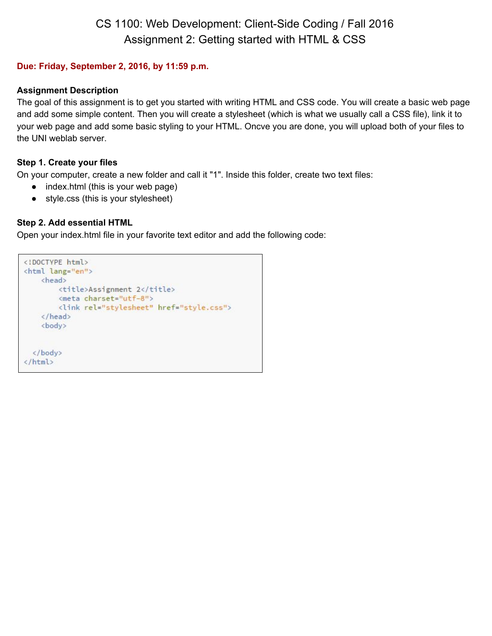# CS 1100: Web Development: Client-Side Coding / Fall 2016 Assignment 2: Getting started with HTML & CSS

# **Due: Friday, September 2, 2016, by 11:59 p.m.**

#### **Assignment Description**

The goal of this assignment is to get you started with writing HTML and CSS code. You will create a basic web page and add some simple content. Then you will create a stylesheet (which is what we usually call a CSS file), link it to your web page and add some basic styling to your HTML. Oncve you are done, you will upload both of your files to the UNI weblab server.

# **Step 1. Create your files**

On your computer, create a new folder and call it "1". Inside this folder, create two text files:

- index.html (this is your web page)
- style.css (this is your stylesheet)

# **Step 2. Add essential HTML**

Open your index.html file in your favorite text editor and add the following code:

```
<!DOCTYPE html>
<html lang="en">
   <head>
       <title>Assignment 2</title>
       <meta charset="utf-8">
       <link rel="stylesheet" href="style.css">
   </head>
    <body>
  </body>
</html>
```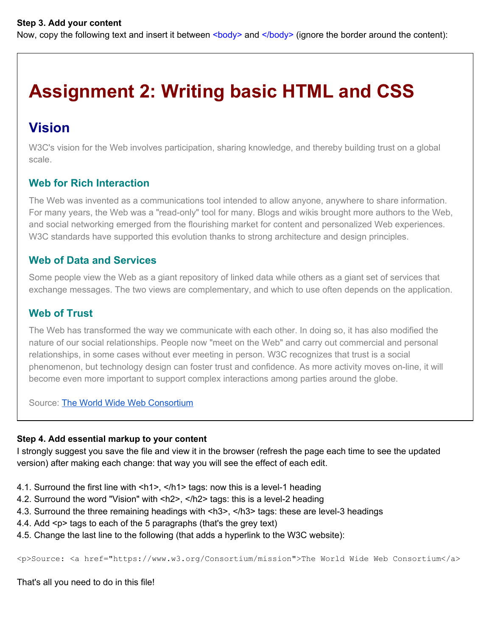Now, copy the following text and insert it between <br/>body> and </body> (ignore the border around the content):

# **Assignment 2: Writing basic HTML and CSS**

# **Vision**

W3C's vision for the Web involves participation, sharing knowledge, and thereby building trust on a global scale.

# **Web for Rich Interaction**

The Web was invented as a communications tool intended to allow anyone, anywhere to share information. For many years, the Web was a "read-only" tool for many. Blogs and wikis brought more authors to the Web, and social networking emerged from the flourishing market for content and personalized Web experiences. W<sub>3</sub>C standards have supported this evolution thanks to strong architecture and design principles.

# **Web of Data and Services**

Some people view the Web as a giant repository of linked data while others as a giant set of services that exchange messages. The two views are complementary, and which to use often depends on the application.

# **Web of Trust**

The Web has transformed the way we communicate with each other. In doing so, it has also modified the nature of our social relationships. People now "meet on the Web" and carry out commercial and personal relationships, in some cases without ever meeting in person. W3C recognizes that trust is a social phenomenon, but technology design can foster trust and confidence. As more activity moves on-line, it will become even more important to support complex interactions among parties around the globe.

Source: [The World Wide Web Consortium](https://www.w3.org/Consortium/mission)

# **Step 4. Add essential markup to your content**

I strongly suggest you save the file and view it in the browser (refresh the page each time to see the updated version) after making each change: that way you will see the effect of each edit.

- 4.1. Surround the first line with  $\langle h1 \rangle$ ,  $\langle h1 \rangle$  tags: now this is a level-1 heading
- 4.2. Surround the word "Vision" with <h2>, </h2> tags: this is a level-2 heading
- 4.3. Surround the three remaining headings with <h3>, </h3> tags: these are level3 headings
- 4.4. Add <p> tags to each of the 5 paragraphs (that's the grey text)
- 4.5. Change the last line to the following (that adds a hyperlink to the W3C website):

<p>Source: <a href="https://www.w3.org/Consortium/mission">The World Wide Web Consortium</a>

That's all you need to do in this file!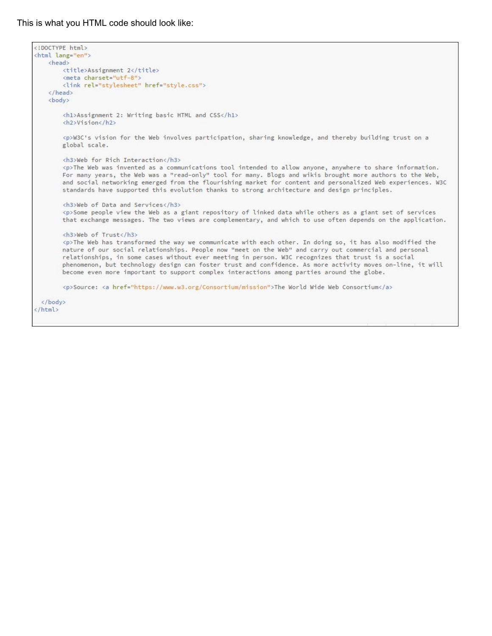#### This is what you HTML code should look like:

```
<!DOCTYPE html>
<html lang="en">
    <head>
        <title>Assignment 2</title>
       <meta charset="utf-8">
       <link rel="stylesheet" href="style.css">
    </head>
   <body>
       <h1>Assignment 2: Writing basic HTML and CSS</h1>
        <h2>Vision</h2>
       <p>W3C's vision for the Web involves participation, sharing knowledge, and thereby building trust on a
       global scale.
       <h3>Web for Rich Interaction</h3>
       <p>The Web was invented as a communications tool intended to allow anyone, anywhere to share information.
       For many years, the Web was a "read-only" tool for many. Blogs and wikis brought more authors to the Web,
       and social networking emerged from the flourishing market for content and personalized Web experiences. W3C
       standards have supported this evolution thanks to strong architecture and design principles.
       <h3>Web of Data and Services</h3>
       <p>Some people view the Web as a giant repository of linked data while others as a giant set of services
       that exchange messages. The two views are complementary, and which to use often depends on the application.
       <h3>Web of Trust</h3>
        <p>The Web has transformed the way we communicate with each other. In doing so, it has also modified the
       nature of our social relationships. People now "meet on the Web" and carry out commercial and personal
       relationships, in some cases without ever meeting in person. W3C recognizes that trust is a social
       phenomenon, but technology design can foster trust and confidence. As more activity moves on-line, it will
       become even more important to support complex interactions among parties around the globe.
        <p>Source: <a href="https://www.w3.org/Consortium/mission">The World Wide Web Consortium</a>
 \langle/body>
</html>
```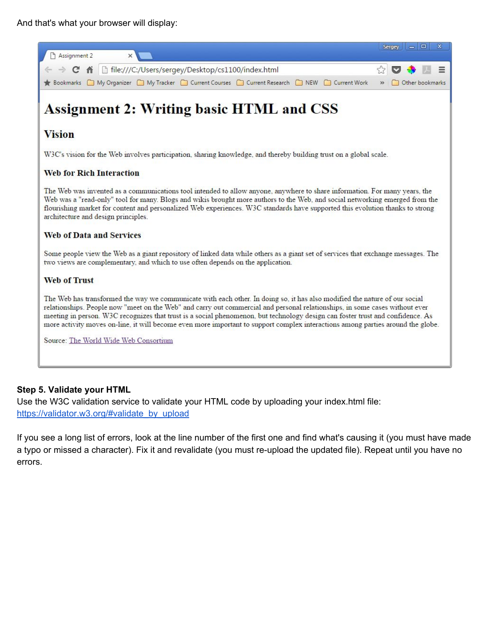

#### **Step 5. Validate your HTML**

Use the W3C validation service to validate your HTML code by uploading your index.html file: [https://validator.w3.org/#validate\\_by\\_upload](https://validator.w3.org/#validate_by_upload)

If you see a long list of errors, look at the line number of the first one and find what's causing it (you must have made a typo or missed a character). Fix it and revalidate (you must re-upload the updated file). Repeat until you have no errors.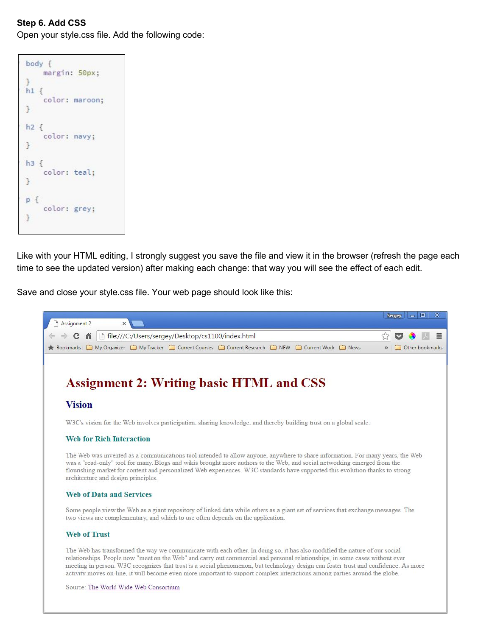# **Step 6. Add CSS**

Open your style.css file. Add the following code:

| body {<br>margin: 50px;         |
|---------------------------------|
| $\mathcal{F}$<br>$h1$ {         |
| color: maroon;<br>$\mathcal{F}$ |
| $h2$ {<br>color: navy;          |
| $\rightarrow$                   |
| $h3$ {<br>color: teal;          |
| $\ddot{\phantom{1}}$            |
| $p$ {<br>color: grey;           |
| $\mathcal{F}$                   |
|                                 |

Like with your HTML editing, I strongly suggest you save the file and view it in the browser (refresh the page each time to see the updated version) after making each change: that way you will see the effect of each edit.

Save and close your style.css file. Your web page should look like this: